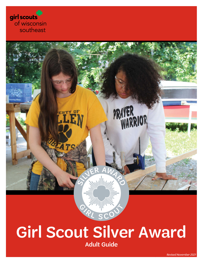girl scouts of wisconsin southeast



## Girl Scout Silver Award Adult Guide

*gswise.org* • 800-565-4475 • 1 *Revised November 2021*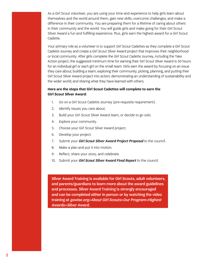As a Girl Scout volunteer, you are using your time and experience to help girls learn about themselves and the world around them, gain new skills, overcome challenges, and make a difference in their community. You are preparing them for a lifetime of caring about others in their community and the world. You will guide girls and make going for their Girl Scout Silver Award a fun and fulfilling experience. Plus, girls earn the highest award for a Girl Scout Cadette.

Your primary role as a volunteer is to support Girl Scout Cadettes as they complete a Girl Scout Cadette Journey and create a Girl Scout Silver Award project that improves their neighborhood or local community. After girls complete the Girl Scout Cadette Journey, including the Take Action project, the suggested minimum time for earning their Girl Scout Silver Award is 50 hours for an individual girl or each girl on the small team. Girls earn the award by focusing on an issue they care about; building a team; exploring their community; picking, planning, and putting their Girl Scout Silver Award project into action; demonstrating an understanding of sustainability and the wider world; and sharing what they have learned with others.

#### **Here are the steps that Girl Scout Cadettes will complete to earn the Girl Scout Silver Award:**

- 1. Go on a Girl Scout Cadette Journey (pre-requisite requirement).
- 2. Identify issues you care about.
- 3. Build your Girl Scout Silver Award team, or decide to go solo.
- 4. Explore your community.
- 5. Choose your Girl Scout Silver Award project.
- 6. Develop your project.
- 7. Submit your *Girl Scout Silver Award Project Proposal* to the council.
- 8. Make a plan and put it into motion.
- 9. Reflect, share your story, and celebrate.
- 10. Submit your *Girl Scout Silver Award Final Report* to the council.

Silver Award Training is available for Girl Scouts, adult volunteers, and parents/guardians to learn more about the award guidelines and processes. Silver Award Training is strongly encouraged and can be completed either in person or by watching the video training at *[gswise.org>About Girl Scouts>Our Program>Highest](https://www.gswise.org/en/about-girl-scouts/our-program/highest-awards/silver-award.html)  [Awards>Silver Award.](https://www.gswise.org/en/about-girl-scouts/our-program/highest-awards/silver-award.html)*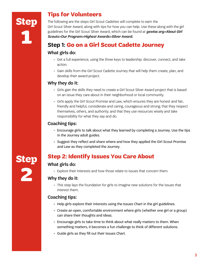**Step**

2

### **Tips for Volunteers**

The following are the steps Girl Scout Cadettes will complete to earn the Girl Scout Silver Award, along with tips for how you can help. Use these along with the girl guidelines for the Girl Scout Silver Award, which can be found at *[gswise.org>About Girl](https://www.gswise.org/en/about-girl-scouts/our-program/highest-awards/silver-award.html)  [Scouts>Our Program>Highest Awards>Silver Award.](https://www.gswise.org/en/about-girl-scouts/our-program/highest-awards/silver-award.html)*

### **Step 1: Go on a Girl Scout Cadette Journey**

### What girls do:

- Get a full experience, using the three keys to leadership: discover, connect, and take action.
- Gain skills from the Girl Scout Cadette Journey that will help them create, plan, and develop their award project.

### Why they do it:

- Girls gain the skills they need to create a Girl Scout Silver Award project that is based on an issue they care about in their neighborhood or local community.
- Girls apply the Girl Scout Promise and Law, which ensures they are honest and fair, friendly and helpful, considerate and caring, courageous and strong; that they respect themselves, others, and authority; and that they use resources wisely and take responsibility for what they say and do.

### Coaching tips:

- Encourage girls to talk about what they learned by completing a Journey. Use the tips in the Journey adult guides.
- Suggest they reflect and share where and how they applied the Girl Scout Promise and Law as they completed the Journey.

### **Step 2: Identify Issues You Care About**

### What girls do:

• Explore their interests and how those relate to issues that concern them.

### Why they do it:

• This step lays the foundation for girls to imagine new solutions for the issues that interest them.

### Coaching tips:

- Help girls explore their interests using the Issues Chart in the girl guidelines.
- Create an open, comfortable environment where girls (whether one girl or a group) can share their thoughts and ideas.
- Encourage girls to take time to think about what really matters to them. When something matters, it becomes a fun challenge to think of different solutions.
- Guide girls as they fill out their Issues Chart.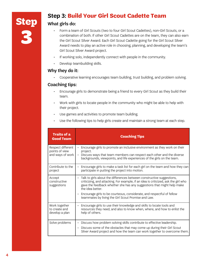### **Step 3: Build Your Girl Scout Cadette Team**

#### What girls do:

- Form a team of Girl Scouts (two to four Girl Scout Cadettes), non-Girl Scouts, or a combination of both. If other Girl Scout Cadettes are on the team, they can also earn the Girl Scout Silver Award. Each Girl Scout Cadette going for the Girl Scout Silver Award needs to play an active role in choosing, planning, and developing the team's Girl Scout Silver Award project.
- If working solo, independently connect with people in the community.
- Develop teambuilding skills.

#### Why they do it:

• Cooperative learning encourages team building, trust building, and problem solving.

#### Coaching tips:

- Encourage girls to demonstrate being a friend to every Girl Scout as they build their team.
- Work with girls to locate people in the community who might be able to help with their project.
- Use games and activities to promote team building.
- Use the following tips to help girls create and maintain a strong team at each step.

| <b>Traits of a</b><br><b>Good Team</b>                  | <b>Coaching Tips</b>                                                                                                                                                                                                                                                                                                                                                                        |
|---------------------------------------------------------|---------------------------------------------------------------------------------------------------------------------------------------------------------------------------------------------------------------------------------------------------------------------------------------------------------------------------------------------------------------------------------------------|
| Respect different<br>points of view<br>and ways of work | Encourage girls to promote an inclusive environment as they work on their<br>project.<br>Discuss ways that team members can respect each other and the diverse<br>backgrounds, viewpoints, and life experiences of the girls on the team.                                                                                                                                                   |
| Contribute to the<br>project                            | Encourage girls to make a task list for each girl on the team and how they can<br>participate in putting the project into motion.                                                                                                                                                                                                                                                           |
| Accept<br>constructive<br>suggestions                   | Talk to girls about the differences between constructive suggestions,<br>criticizing, and attacking. For example, if an idea is criticized, ask the girl who<br>gave the feedback whether she has any suggestions that might help make<br>the idea better.<br>Encourage girls to be courteous, considerate, and respectful of fellow<br>teammates by living the Girl Scout Promise and Law. |
| Work together<br>to create and<br>develop a plan        | Encourage girls to use their knowledge and skills to locate tools and<br>resources they need, and also to know when, where, and how to enlist the<br>help of others.                                                                                                                                                                                                                        |
| Solve problems                                          | Discuss how problem solving skills contribute to effective leadership.<br>Discuss some of the obstacles that may come up during their Girl Scout<br>$\bullet$<br>Silver Award project and how the team can work together to overcome them.                                                                                                                                                  |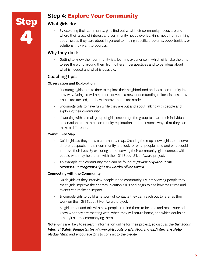

### **Step 4: Explore Your Community**

#### What girls do:

• By exploring their community, girls find out what their community needs are and where their areas of interest and community needs overlap. Girls move from thinking about issues they care about in general to finding specific problems, opportunities, or solutions they want to address.

### Why they do it:

• Getting to know their community is a learning experience in which girls take the time to see the world around them from different perspectives and to get ideas about what is needed and what is possible.

### Coaching tips:

#### **Observation and Exploration**

- Encourage girls to take time to explore their neighborhood and local community in a new way. Doing so will help them develop a new understanding of local issues, how issues are tackled, and how improvements are made.
- Encourage girls to have fun while they are out and about talking with people and exploring their community.
- If working with a small group of girls, encourage the group to share their individual observations from their community exploration and brainstorm ways that they can make a difference.

#### **Community Map**

- Guide girls as they draw a community map. Creating the map allows girls to observe different aspects of their community and look for what people need and what could improve their lives. By exploring and observing their community, girls connect with people who may help them with their Girl Scout Silver Award project.
- An example of a community map can be found at *[gswise.org>About Girl](https://www.gswise.org/en/about-girl-scouts/our-program/highest-awards/silver-award.html)  [Scouts>Our Program>Highest Awards>Silver Award](https://www.gswise.org/en/about-girl-scouts/our-program/highest-awards/silver-award.html)*.

#### **Connecting with the Community**

- Guide girls as they interview people in the community. By interviewing people they meet, girls improve their communication skills and begin to see how their time and talents can make an impact.
- Encourage girls to build a network of contacts they can reach out to later as they work on their Girl Scout Silver Award project.
- As girls meet and talk with new people, remind them to be safe and make sure adults know who they are meeting with, when they will return home, and which adults or other girls are accompanying them.

**Note:** Girls are likely to research information online for their project, so discuss the *Girl Scout Internet Safety Pledge* (*https://www.girlscouts.org/en/footer/help/internet-safetypledge.html*) and encourage girls to commit to the pledge.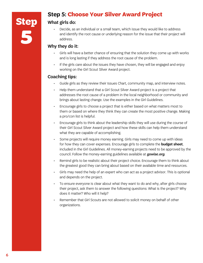### **Step 5: Choose Your Silver Award Project**

### What girls do:

• Decide, as an individual or a small team, which issue they would like to address and identify the root cause or underlying reason for the issue that their project will address.

### Why they do it:

- Girls will have a better chance of ensuring that the solution they come up with works and is long lasting if they address the root cause of the problem.
- If the girls care about the issues they have chosen, they will be engaged and enjoy working on the Girl Scout Silver Award project.

### Coaching tips:

- Guide girls as they review their Issues Chart, community map, and interview notes.
- Help them understand that a Girl Scout Silver Award project is a project that addresses the root cause of a problem in the local neighborhood or community and brings about lasting change. Use the examples in the Girl Guidelines.
- Encourage girls to choose a project that is either based on what matters most to them or based on where they think they can create the most positive change. Making a pro/con list is helpful.
- Encourage girls to think about the leadership skills they will use during the course of their Girl Scout Silver Award project and how these skills can help them understand what they are capable of accomplishing.
- Some projects will require money earning. Girls may need to come up with ideas for how they can cover expenses. Encourage girls to complete the **budget sheet**, included in the Girl Guidelines. All money-earning projects need to be approved by the council. Follow the money-earning guidelines available at *[gswise.org](http://www.gswise.org)*.
- Remind girls to be realistic about their project choice. Encourage them to think about the greatest good they can bring about based on their available time and resources.
- Girls may need the help of an expert who can act as a project advisor. This is optional and depends on the project.
- To ensure everyone is clear about what they want to do and why, after girls choose their project, ask them to answer the following questions: What is the project? Why does it matter? Who will it help?
- Remember that Girl Scouts are not allowed to solicit money on behalf of other organizations.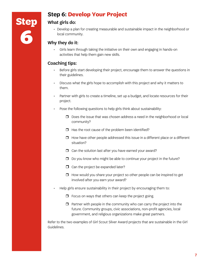### **Step 6: Develop Your Project**

### What girls do:

• Develop a plan for creating measurable and sustainable impact in the neighborhood or local community.

### Why they do it:

• Girls learn through taking the initiative on their own and engaging in hands-on activities that help them gain new skills.

### Coaching tips:

- Before girls start developing their project, encourage them to answer the questions in their guidelines.
- Discuss what the girls hope to accomplish with this project and why it matters to them.
- Partner with girls to create a timeline, set up a budget, and locate resources for their project.
- Pose the following questions to help girls think about sustainability:
	- $\Box$  Does the issue that was chosen address a need in the neighborhood or local community?
	- $\Box$  Has the root cause of the problem been identified?
	- $\Box$  How have other people addressed this issue in a different place or a different situation?
	- $\Box$  Can the solution last after you have earned your award?
	- $\Box$  Do you know who might be able to continue your project in the future?
	- $\Box$  Can the project be expanded later?
	- $\Box$  How would you share your project so other people can be inspired to get involved after you earn your award?
- Help girls ensure sustainability in their project by encouraging them to:
	- $\Box$  Focus on ways that others can keep the project going.
	- $\Box$  Partner with people in the community who can carry the project into the future. Community groups, civic associations, non-profit agencies, local government, and religious organizations make great partners.

Refer to the two examples of Girl Scout Silver Award projects that are sustainable in the Girl Guidelines.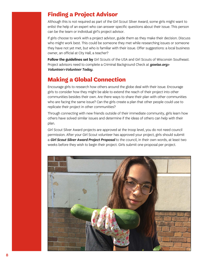### **Finding a Project Advisor**

Although this is not required as part of the Girl Scout Silver Award, some girls might want to enlist the help of an expert who can answer specific questions about their issue. This person can be the team or individual girl's project advisor.

If girls choose to work with a project advisor, guide them as they make their decision. Discuss who might work best. This could be someone they met while researching issues or someone they have not yet met, but who is familiar with their issue. Offer suggestions: a local business owner, an official at City Hall, a teacher?

**Follow the guidelines set by** Girl Scouts of the USA and Girl Scouts of Wisconsin Southeast. Project advisors need to complete a Criminal Background Check at *[gswise.org>](https://mygs.girlscouts.org/volunteer) [Volunteer>Volunteer Today](https://mygs.girlscouts.org/volunteer).*

### **Making a Global Connection**

Encourage girls to research how others around the globe deal with their issue. Encourage girls to consider how they might be able to extend the reach of their project into other communities besides their own. Are there ways to share their plan with other communities who are facing the same issue? Can the girls create a plan that other people could use to replicate their project in other communities?

Through connecting with new friends outside of their immediate community, girls learn how others have solved similar issues and determine if the ideas of others can help with their plan.

Girl Scout Silver Award projects are approved at the troop level, you do not need council permission. After your Girl Scout volunteer has approved your project, girls should submit a *Girl Scout Silver Award Project Proposal* to the council, in their own words, at least two weeks before they wish to begin their project. Girls submit one proposal per project.

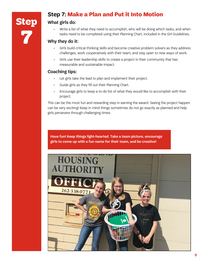### **Step 7: Make a Plan and Put it Into Motion**

### What girls do:

Write a list of what they need to accomplish, who will be doing which tasks, and when tasks need to be completed using their Planning Chart, included in the Girl Guidelines.

### Why they do it:

- Girls build critical thinking skills and become creative problem solvers as they address challenges, work cooperatively with their team, and stay open to new ways of work.
- Girls use their leadership skills to create a project in their community that has measurable and sustainable impact.

### Coaching tips:

- Let girls take the lead to plan and implement their project.
- Guide girls as they fill out their Planning Chart.
- Encourage girls to keep a to-do list of what they would like to accomplish with their project.

This can be the most fun and rewarding step in earning the award. Seeing the project happen can be very exciting! Keep in mind things sometimes do not go exactly as planned and help girls persevere through challenging times.

**Have fun! Keep things light-hearted. Take a team picture, encourage girls to come up with a fun name for their team, and be creative!** 

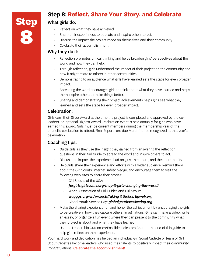

### **Step 8: Reflect, Share Your Story, and Celebrate**

### What girls do:

- Reflect on what they have achieved.
- Share their experiences to educate and inspire others to act.
- Discuss the impact the project made on themselves and their community.
- Celebrate their accomplishment.

#### Why they do it:

- Reflection promotes critical thinking and helps broaden girls' perspectives about the world and how they can help.
- Through reflection, girls understand the impact of their project on the community and how it might relate to others in other communities.
- Demonstrating to an audience what girls have learned sets the stage for even broader impact.
- Spreading the word encourages girls to think about what they have learned and helps them inspire others to make things better.
- Sharing and demonstrating their project achievements helps girls see what they learned and sets the stage for even broader impact.

#### Celebration:

Girls earn their Silver Award at the time the project is completed and approved by the coleaders. An optional Highest Award Celebration event is held annually for girls who have earned this award. Girls must be current members during the membership year of the council's celebration to attend. Final Reports are due March 1 to be recognized at that year's celebration.

#### Coaching tips:

- Guide girls as they use the insight they gained from answering the reflection questions in their Girl Guide to spread the word and inspire others to act.
- Discuss the impact the experience had on girls, their team, and their community.
- Help girls share their experience and efforts with a wider audience. Remind them about the Girl Scouts' Internet safety pledge, and encourage them to visit the following web sites to share their stories:
	- Girl Scouts of the USA:
		- *[forgirls.girlscouts.org/map-it-girls-changing-the-world/](http://forgirls.girlscouts.org/map-it-girls-changing-the-world/)*
	- World Association of Girl Guides and Girl Scouts:
		- *[wagggs.org/en/projectsTaking it Global: tigweb.org](http://wagggs.org/en/projectsTaking it Global: tigweb.org )*
	- Global Youth Service Day: *[globalyouthserviceday.org](http://globalyouthserviceday.org)*
- Make the sharing experience fun and honor the achievement by encouraging the girls to be creative in how they capture others' imaginations. Girls can make a video, write an essay, or organize a fun event where they can present to the community what their project is about and what they have learned.
- Use the Leadership Outcomes/Possible Indicators Chart at the end of this guide to help girls reflect on their experience.

Your hard work and dedication has helped an individual Girl Scout Cadette or team of Girl Scout Cadettes become leaders who used their talents to positively impact their community. Congratulations! **Celebrate the accomplishment!**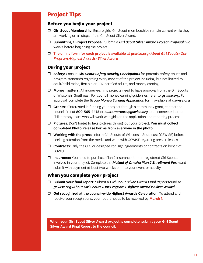### **Project Tips**

### **Before you begin your project**

- **T** Girl Scout Membership: Ensure girls' Girl Scout memberships remain current while they are working on all steps of the Girl Scout Silver Award.
- r **Submitting a Project Proposal:** Submit a *Girl Scout Silver Award Project Proposal* two weeks before beginning the project.
- r **The online form for each project is available at** *[gswise.org>About Girl Scouts>Our](https://www.gswise.org/en/about-girl-scouts/our-program/highest-awards/silver-award.html)  [Program>Highest Awards>Silver Award](https://www.gswise.org/en/about-girl-scouts/our-program/highest-awards/silver-award.html)*

### **During your project**

- **T** Safety: Consult *Girl Scout Safety Activity Checkpoints* for potential safety issues and program standards regarding every aspect of the project including, but not limited to, adult/child ratios, first aid or CPR-certified adults, and money earning.
- **T** Money matters: All money-earning projects need to have approval from the Girl Scouts of Wisconsin Southeast. For council money earning guidelines, refer to *[gswise.org](http://www.gswise.org)*. For approval, complete the *Group Money Earning Application* form, available at *[gswise.org](http://www.gswise.org)*.
- $\Box$  Grants: If interested in funding your project through a community grant, contact the council first at 800-565-4475 or *[customercare@gswise.org](mailto:customercare%40gswise.org?subject=)* to be connected to our Philanthropy team who will work with girls on the application and reporting process.
- $\Box$  **Pictures:** Don't forget to take pictures throughout your project. You must collect **completed Photo Release Forms from everyone in the photo.**
- **T** Working with the press: Inform Girl Scouts of Wisconsin Southeast (GSWISE) before seeking attention from the media and work with GSWISE regarding press releases.
- **T** Contracts: Only the CEO or designee can sign agreements or contracts on behalf of GSWISE.
- $\Box$  **Insurance:** You need to purchase Plan 2 Insurance for non-registered Girl Scouts involved in your project. Complete the *Mutual of Omaha Plan 2 Enrollment Form* and submit with payment at least two weeks prior to your event or activity.

#### **When you complete your project**

- r **Submit your final report:** Submit a *Girl Scout Silver Award Final Report* found at *[gswise.org>About Girl Scouts>Our Program>Highest Awards>Silver Award](https://www.gswise.org/en/about-girl-scouts/our-program/highest-awards/silver-award.html).*
- $\Box$  Get recognized at the council-wide Highest Awards Celebration! To attend and receive your recognitions, your report needs to be received by **March 1.**

**When your Girl Scout Silver Award project is complete, submit your Girl Scout Silver Award Final Report to the council.**